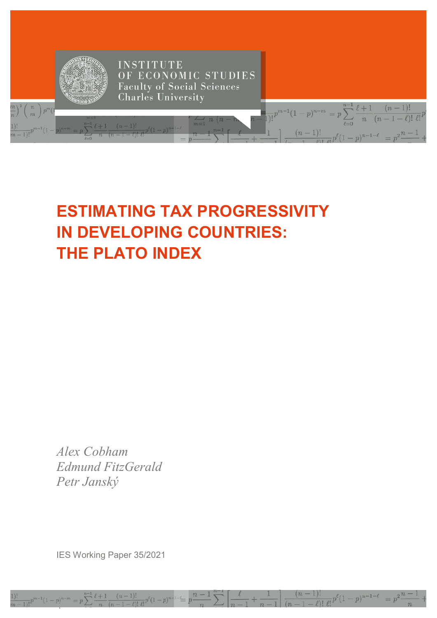

# **ESTIMATING TAX PROGRESSIVITY IN DEVELOPING COUNTRIES: THE PLATO INDEX**

 $\cdot p^{\ell}(1-p)^{n-1-\ell}$ 

*Alex Cobham Edmund FitzGerald Petr Janský*

IES Working Paper 35/2021

 $(-1)(1-p)^{1}$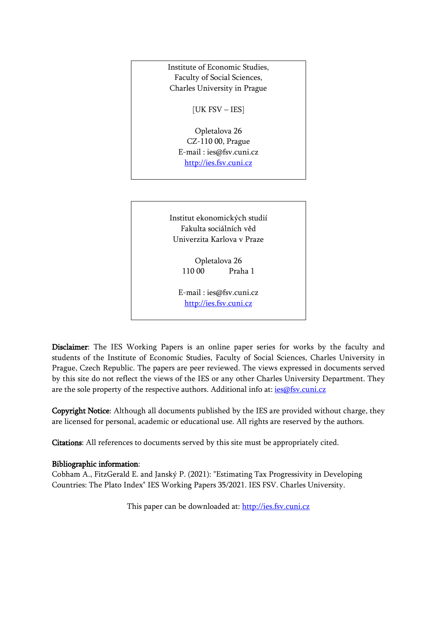

E-mail : [ies@fsv.cuni.cz](mailto:IES@Mbox.FSV.CUNI.CZ) [http://ies.fsv.cuni.cz](http://ies.fsv.cuni.cz/)

Disclaimer: The IES Working Papers is an online paper series for works by the faculty and students of the Institute of Economic Studies, Faculty of Social Sciences, Charles University in Prague, Czech Republic. The papers are peer reviewed. The views expressed in documents served by this site do not reflect the views of the IES or any other Charles University Department. They are the sole property of the respective authors. Additional info at: [ies@fsv.cuni.cz](mailto:ies@fsv.cuni.cz)

Copyright Notice: Although all documents published by the IES are provided without charge, they are licensed for personal, academic or educational use. All rights are reserved by the authors.

Citations: All references to documents served by this site must be appropriately cited.

#### Bibliographic information:

Cobham A., FitzGerald E. and Janský P. (2021): "Estimating Tax Progressivity in Developing Countries: The Plato Index" IES Working Papers 35/2021. IES FSV. Charles University.

This paper can be downloaded at: [http://ies.fsv.cuni.cz](http://ies.fsv.cuni.cz/)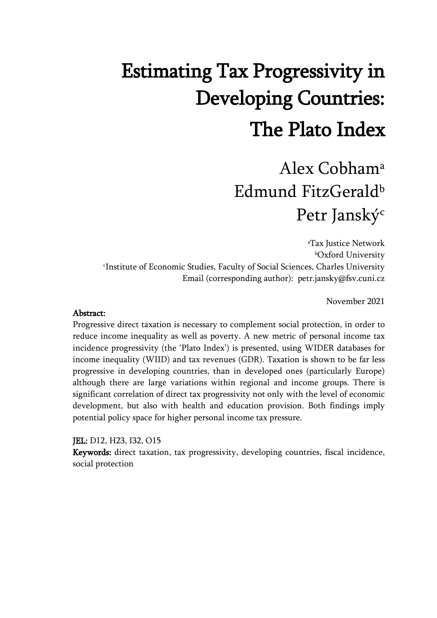# Estimating Tax Progressivity in Developing Countries: The Plato Index

# Alex Cobhama Edmund FitzGerald<sup>b</sup> Petr Janský<sup>c</sup>

a Tax Justice Network bOxford University c Institute of Economic Studies, Faculty of Social Sciences, Charles University Email (corresponding author): petr.jansky@fsv.cuni.cz

November 2021

#### Abstract:

Progressive direct taxation is necessary to complement social protection, in order to reduce income inequality as well as poverty. A new metric of personal income tax incidence progressivity (the 'Plato Index') is presented, using WIDER databases for income inequality (WIID) and tax revenues (GDR). Taxation is shown to be far less progressive in developing countries, than in developed ones (particularly Europe) although there are large variations within regional and income groups. There is significant correlation of direct tax progressivity not only with the level of economic development, but also with health and education provision. Both findings imply potential policy space for higher personal income tax pressure.

#### **IEL:** D12, H23, I32, O15

Keywords: direct taxation, tax progressivity, developing countries, fiscal incidence, social protection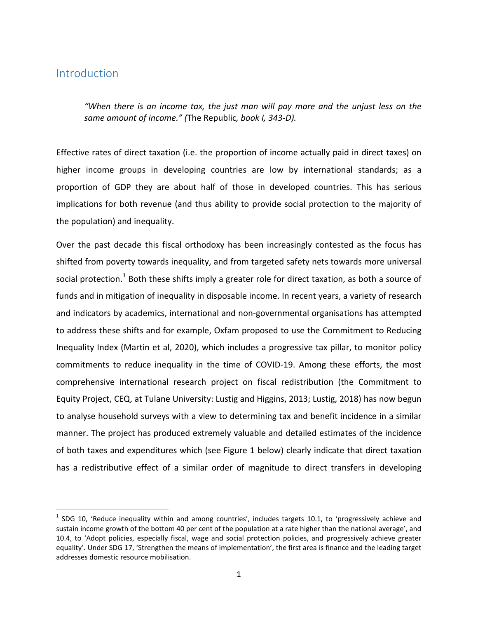#### **Introduction**

*"When there is an income tax, the just man will pay more and the unjust less on the same amount of income." (*The Republic*, book I, 343-D).*

Effective rates of direct taxation (i.e. the proportion of income actually paid in direct taxes) on higher income groups in developing countries are low by international standards; as a proportion of GDP they are about half of those in developed countries. This has serious implications for both revenue (and thus ability to provide social protection to the majority of the population) and inequality.

Over the past decade this fiscal orthodoxy has been increasingly contested as the focus has shifted from poverty towards inequality, and from targeted safety nets towards more universal social protection.<sup>[1](#page-3-0)</sup> Both these shifts imply a greater role for direct taxation, as both a source of funds and in mitigation of inequality in disposable income. In recent years, a variety of research and indicators by academics, international and non-governmental organisations has attempted to address these shifts and for example, Oxfam proposed to use the Commitment to Reducing Inequality Index (Martin et al, 2020), which includes a progressive tax pillar, to monitor policy commitments to reduce inequality in the time of COVID-19. Among these efforts, the most comprehensive international research project on fiscal redistribution (the Commitment to Equity Project, CEQ, at Tulane University: Lustig and Higgins, 2013; Lustig, 2018) has now begun to analyse household surveys with a view to determining tax and benefit incidence in a similar manner. The project has produced extremely valuable and detailed estimates of the incidence of both taxes and expenditures which (see Figure 1 below) clearly indicate that direct taxation has a redistributive effect of a similar order of magnitude to direct transfers in developing

<span id="page-3-0"></span> $<sup>1</sup>$  SDG 10, 'Reduce inequality within and among countries', includes targets 10.1, to 'progressively achieve and</sup> sustain income growth of the bottom 40 per cent of the population at a rate higher than the national average', and 10.4, to 'Adopt policies, especially fiscal, wage and social protection policies, and progressively achieve greater equality'. Under SDG 17, 'Strengthen the means of implementation', the first area is finance and the leading target addresses domestic resource mobilisation.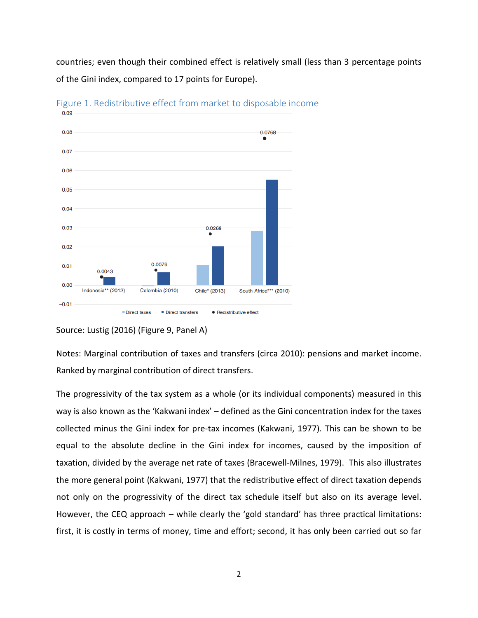countries; even though their combined effect is relatively small (less than 3 percentage points of the Gini index, compared to 17 points for Europe).



Figure 1. Redistributive effect from market to disposable income

Notes: Marginal contribution of taxes and transfers (circa 2010): pensions and market income. Ranked by marginal contribution of direct transfers.

The progressivity of the tax system as a whole (or its individual components) measured in this way is also known as the 'Kakwani index' – defined as the Gini concentration index for the taxes collected minus the Gini index for pre-tax incomes (Kakwani, 1977). This can be shown to be equal to the absolute decline in the Gini index for incomes, caused by the imposition of taxation, divided by the average net rate of taxes (Bracewell-Milnes, 1979). This also illustrates the more general point (Kakwani, 1977) that the redistributive effect of direct taxation depends not only on the progressivity of the direct tax schedule itself but also on its average level. However, the CEQ approach – while clearly the 'gold standard' has three practical limitations: first, it is costly in terms of money, time and effort; second, it has only been carried out so far

Source: Lustig (2016) (Figure 9, Panel A)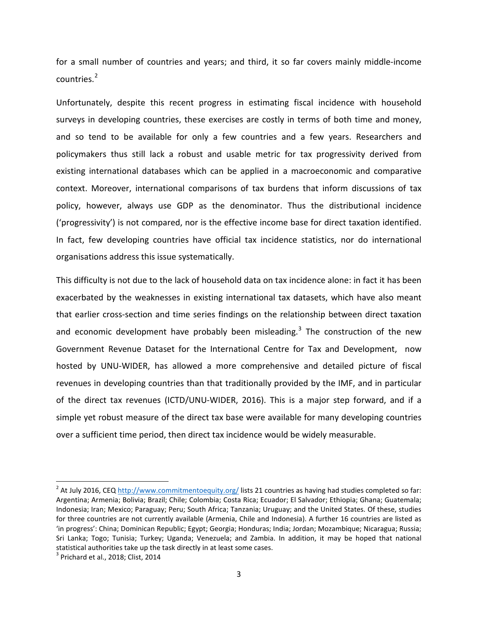for a small number of countries and years; and third, it so far covers mainly middle-income countries. $2$ 

Unfortunately, despite this recent progress in estimating fiscal incidence with household surveys in developing countries, these exercises are costly in terms of both time and money, and so tend to be available for only a few countries and a few years. Researchers and policymakers thus still lack a robust and usable metric for tax progressivity derived from existing international databases which can be applied in a macroeconomic and comparative context. Moreover, international comparisons of tax burdens that inform discussions of tax policy, however, always use GDP as the denominator. Thus the distributional incidence ('progressivity') is not compared, nor is the effective income base for direct taxation identified. In fact, few developing countries have official tax incidence statistics, nor do international organisations address this issue systematically.

This difficulty is not due to the lack of household data on tax incidence alone: in fact it has been exacerbated by the weaknesses in existing international tax datasets, which have also meant that earlier cross-section and time series findings on the relationship between direct taxation and economic development have probably been misleading.<sup>[3](#page-5-1)</sup> The construction of the new Government Revenue Dataset for the International Centre for Tax and Development, now hosted by UNU-WIDER, has allowed a more comprehensive and detailed picture of fiscal revenues in developing countries than that traditionally provided by the IMF, and in particular of the direct tax revenues (ICTD/UNU-WIDER, 2016). This is a major step forward, and if a simple yet robust measure of the direct tax base were available for many developing countries over a sufficient time period, then direct tax incidence would be widely measurable.

<span id="page-5-0"></span><sup>&</sup>lt;sup>2</sup> At July 2016, CEQ<http://www.commitmentoequity.org/> lists 21 countries as having had studies completed so far: Argentina; Armenia; Bolivia; Brazil; Chile; Colombia; Costa Rica; Ecuador; El Salvador; Ethiopia; Ghana; Guatemala; Indonesia; Iran; Mexico; Paraguay; Peru; South Africa; Tanzania; Uruguay; and the United States. Of these, studies for three countries are not currently available (Armenia, Chile and Indonesia). A further 16 countries are listed as 'in progress': China; Dominican Republic; Egypt; Georgia; Honduras; India; Jordan; Mozambique; Nicaragua; Russia; Sri Lanka; Togo; Tunisia; Turkey; Uganda; Venezuela; and Zambia. In addition, it may be hoped that national statistical authorities take up the task directly in at least some cases.

<span id="page-5-1"></span> $3$  Prichard et al., 2018; Clist, 2014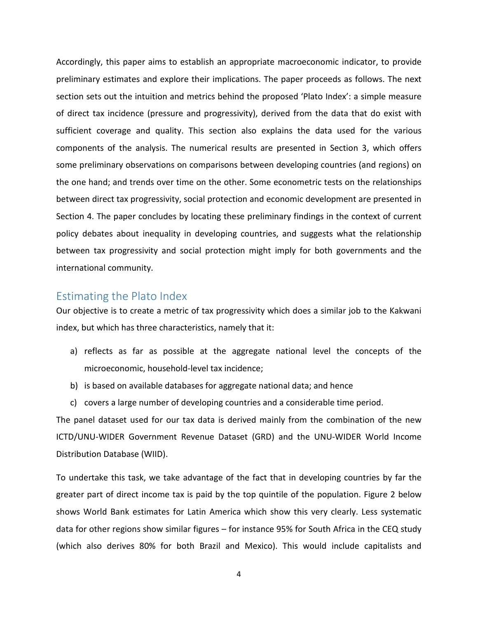Accordingly, this paper aims to establish an appropriate macroeconomic indicator, to provide preliminary estimates and explore their implications. The paper proceeds as follows. The next section sets out the intuition and metrics behind the proposed 'Plato Index': a simple measure of direct tax incidence (pressure and progressivity), derived from the data that do exist with sufficient coverage and quality. This section also explains the data used for the various components of the analysis. The numerical results are presented in Section 3, which offers some preliminary observations on comparisons between developing countries (and regions) on the one hand; and trends over time on the other. Some econometric tests on the relationships between direct tax progressivity, social protection and economic development are presented in Section 4. The paper concludes by locating these preliminary findings in the context of current policy debates about inequality in developing countries, and suggests what the relationship between tax progressivity and social protection might imply for both governments and the international community.

## Estimating the Plato Index

Our objective is to create a metric of tax progressivity which does a similar job to the Kakwani index, but which has three characteristics, namely that it:

- a) reflects as far as possible at the aggregate national level the concepts of the microeconomic, household-level tax incidence;
- b) is based on available databases for aggregate national data; and hence
- c) covers a large number of developing countries and a considerable time period.

The panel dataset used for our tax data is derived mainly from the combination of the new ICTD/UNU-WIDER Government Revenue Dataset (GRD) and the UNU-WIDER World Income Distribution Database (WIID).

To undertake this task, we take advantage of the fact that in developing countries by far the greater part of direct income tax is paid by the top quintile of the population. Figure 2 below shows World Bank estimates for Latin America which show this very clearly. Less systematic data for other regions show similar figures – for instance 95% for South Africa in the CEQ study (which also derives 80% for both Brazil and Mexico). This would include capitalists and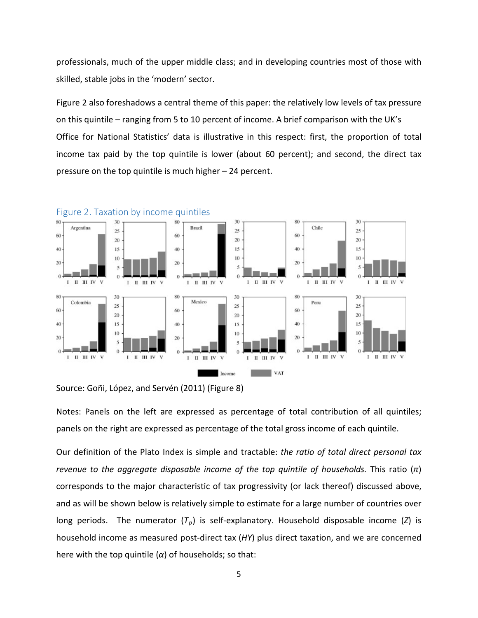professionals, much of the upper middle class; and in developing countries most of those with skilled, stable jobs in the 'modern' sector.

Figure 2 also foreshadows a central theme of this paper: the relatively low levels of tax pressure on this quintile – ranging from 5 to 10 percent of income. A brief comparison with the UK's Office for National Statistics' data is illustrative in this respect: first, the proportion of total income tax paid by the top quintile is lower (about 60 percent); and second, the direct tax pressure on the top quintile is much higher – 24 percent.





Source: Goñi, López, and Servén (2011) (Figure 8)

Notes: Panels on the left are expressed as percentage of total contribution of all quintiles; panels on the right are expressed as percentage of the total gross income of each quintile.

Our definition of the Plato Index is simple and tractable: *the ratio of total direct personal tax revenue to the aggregate disposable income of the top quintile of households.* This ratio (*π*) corresponds to the major characteristic of tax progressivity (or lack thereof) discussed above, and as will be shown below is relatively simple to estimate for a large number of countries over long periods. The numerator (*Tp*) is self-explanatory. Household disposable income (*Z*) is household income as measured post-direct tax (*HY*) plus direct taxation, and we are concerned here with the top quintile  $(α)$  of households; so that: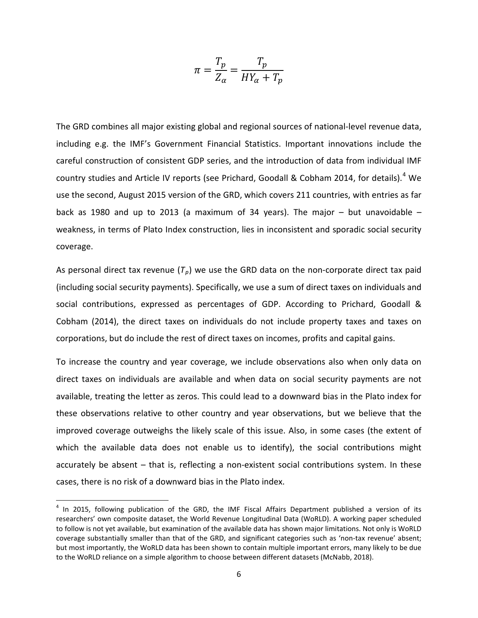$$
\pi = \frac{T_p}{Z_\alpha} = \frac{T_p}{HY_\alpha + T_p}
$$

The GRD combines all major existing global and regional sources of national-level revenue data, including e.g. the IMF's Government Financial Statistics. Important innovations include the careful construction of consistent GDP series, and the introduction of data from individual IMF country studies and Article IV reports (see Prichard, Goodall & Cobham 201[4](#page-8-0), for details).<sup>4</sup> We use the second, August 2015 version of the GRD, which covers 211 countries, with entries as far back as 1980 and up to 2013 (a maximum of 34 years). The major – but unavoidable – weakness, in terms of Plato Index construction, lies in inconsistent and sporadic social security coverage.

As personal direct tax revenue  $(T_p)$  we use the GRD data on the non-corporate direct tax paid (including social security payments). Specifically, we use a sum of direct taxes on individuals and social contributions, expressed as percentages of GDP. According to Prichard, Goodall & Cobham (2014), the direct taxes on individuals do not include property taxes and taxes on corporations, but do include the rest of direct taxes on incomes, profits and capital gains.

To increase the country and year coverage, we include observations also when only data on direct taxes on individuals are available and when data on social security payments are not available, treating the letter as zeros. This could lead to a downward bias in the Plato index for these observations relative to other country and year observations, but we believe that the improved coverage outweighs the likely scale of this issue. Also, in some cases (the extent of which the available data does not enable us to identify), the social contributions might accurately be absent – that is, reflecting a non-existent social contributions system. In these cases, there is no risk of a downward bias in the Plato index.

<span id="page-8-0"></span> $<sup>4</sup>$  In 2015, following publication of the GRD, the IMF Fiscal Affairs Department published a version of its</sup> researchers' own composite dataset, the World Revenue Longitudinal Data (WoRLD). A working paper scheduled to follow is not yet available, but examination of the available data has shown major limitations. Not only is WoRLD coverage substantially smaller than that of the GRD, and significant categories such as 'non-tax revenue' absent; but most importantly, the WoRLD data has been shown to contain multiple important errors, many likely to be due to the WoRLD reliance on a simple algorithm to choose between different datasets (McNabb, 2018).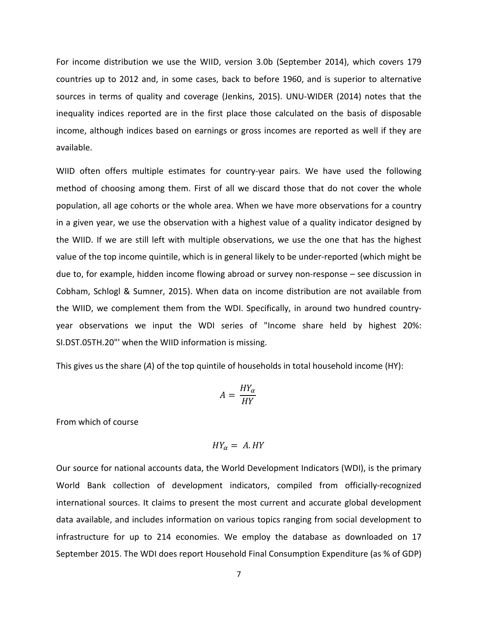For income distribution we use the WIID, version 3.0b (September 2014), which covers 179 countries up to 2012 and, in some cases, back to before 1960, and is superior to alternative sources in terms of quality and coverage (Jenkins, 2015). UNU-WIDER (2014) notes that the inequality indices reported are in the first place those calculated on the basis of disposable income, although indices based on earnings or gross incomes are reported as well if they are available.

WIID often offers multiple estimates for country-year pairs. We have used the following method of choosing among them. First of all we discard those that do not cover the whole population, all age cohorts or the whole area. When we have more observations for a country in a given year, we use the observation with a highest value of a quality indicator designed by the WIID. If we are still left with multiple observations, we use the one that has the highest value of the top income quintile, which is in general likely to be under-reported (which might be due to, for example, hidden income flowing abroad or survey non-response – see discussion in Cobham, Schlogl & Sumner, 2015). When data on income distribution are not available from the WIID, we complement them from the WDI. Specifically, in around two hundred countryyear observations we input the WDI series of "Income share held by highest 20%: SI.DST.05TH.20"' when the WIID information is missing.

This gives us the share (*A*) of the top quintile of households in total household income (HY):

$$
A = \frac{HY_{\alpha}}{HY}
$$

From which of course

$$
HY_{\alpha} = A. HY
$$

Our source for national accounts data, the World Development Indicators (WDI), is the primary World Bank collection of development indicators, compiled from officially-recognized international sources. It claims to present the most current and accurate global development data available, and includes information on various topics ranging from social development to infrastructure for up to 214 economies. We employ the database as downloaded on 17 September 2015. The WDI does report Household Final Consumption Expenditure (as % of GDP)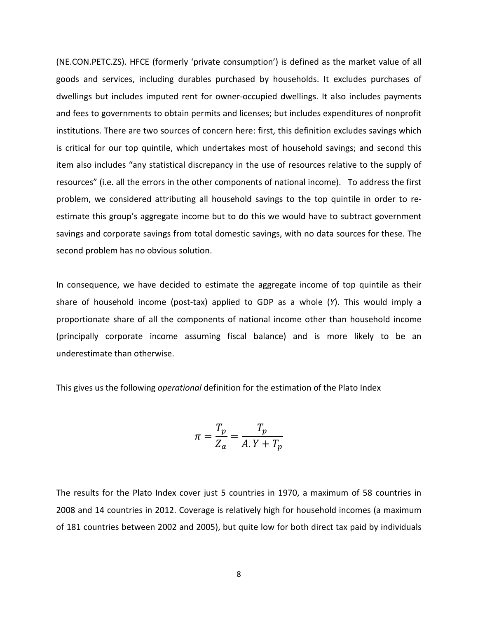(NE.CON.PETC.ZS). HFCE (formerly 'private consumption') is defined as the market value of all goods and services, including durables purchased by households. It excludes purchases of dwellings but includes imputed rent for owner-occupied dwellings. It also includes payments and fees to governments to obtain permits and licenses; but includes expenditures of nonprofit institutions. There are two sources of concern here: first, this definition excludes savings which is critical for our top quintile, which undertakes most of household savings; and second this item also includes "any statistical discrepancy in the use of resources relative to the supply of resources" (i.e. all the errors in the other components of national income). To address the first problem, we considered attributing all household savings to the top quintile in order to reestimate this group's aggregate income but to do this we would have to subtract government savings and corporate savings from total domestic savings, with no data sources for these. The second problem has no obvious solution.

In consequence, we have decided to estimate the aggregate income of top quintile as their share of household income (post-tax) applied to GDP as a whole (*Y*). This would imply a proportionate share of all the components of national income other than household income (principally corporate income assuming fiscal balance) and is more likely to be an underestimate than otherwise.

This gives us the following *operational* definition for the estimation of the Plato Index

$$
\pi = \frac{T_p}{Z_\alpha} = \frac{T_p}{A.Y + T_p}
$$

The results for the Plato Index cover just 5 countries in 1970, a maximum of 58 countries in 2008 and 14 countries in 2012. Coverage is relatively high for household incomes (a maximum of 181 countries between 2002 and 2005), but quite low for both direct tax paid by individuals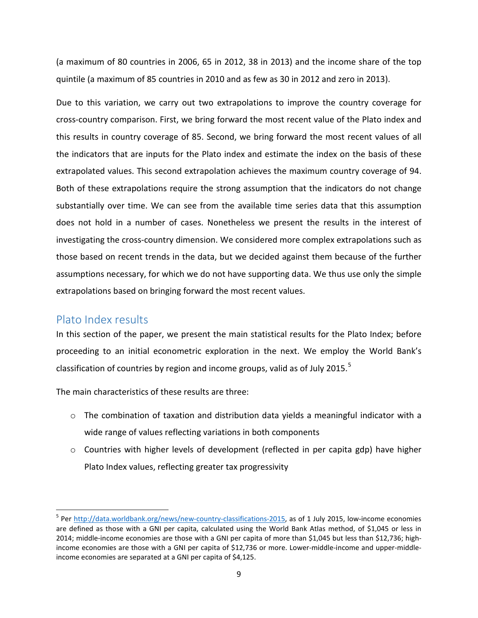(a maximum of 80 countries in 2006, 65 in 2012, 38 in 2013) and the income share of the top quintile (a maximum of 85 countries in 2010 and as few as 30 in 2012 and zero in 2013).

Due to this variation, we carry out two extrapolations to improve the country coverage for cross-country comparison. First, we bring forward the most recent value of the Plato index and this results in country coverage of 85. Second, we bring forward the most recent values of all the indicators that are inputs for the Plato index and estimate the index on the basis of these extrapolated values. This second extrapolation achieves the maximum country coverage of 94. Both of these extrapolations require the strong assumption that the indicators do not change substantially over time. We can see from the available time series data that this assumption does not hold in a number of cases. Nonetheless we present the results in the interest of investigating the cross-country dimension. We considered more complex extrapolations such as those based on recent trends in the data, but we decided against them because of the further assumptions necessary, for which we do not have supporting data. We thus use only the simple extrapolations based on bringing forward the most recent values.

#### Plato Index results

In this section of the paper, we present the main statistical results for the Plato Index; before proceeding to an initial econometric exploration in the next. We employ the World Bank's classification of countries by region and income groups, valid as of July 201[5](#page-11-0). $^5$ 

The main characteristics of these results are three:

- $\circ$  The combination of taxation and distribution data yields a meaningful indicator with a wide range of values reflecting variations in both components
- $\circ$  Countries with higher levels of development (reflected in per capita gdp) have higher Plato Index values, reflecting greater tax progressivity

<span id="page-11-0"></span> $5$  Per [http://data.worldbank.org/news/new-country-classifications-2015,](http://data.worldbank.org/news/new-country-classifications-2015) as of 1 July 2015, low-income economies are defined as those with a GNI per capita, calculated using the World Bank Atlas method, of \$1,045 or less in 2014; middle-income economies are those with a GNI per capita of more than \$1,045 but less than \$12,736; highincome economies are those with a GNI per capita of \$12,736 or more. Lower-middle-income and upper-middleincome economies are separated at a GNI per capita of \$4,125.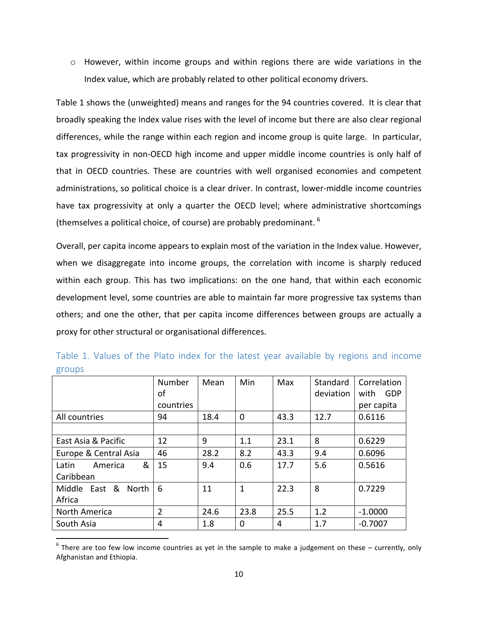$\circ$  However, within income groups and within regions there are wide variations in the Index value, which are probably related to other political economy drivers.

Table 1 shows the (unweighted) means and ranges for the 94 countries covered. It is clear that broadly speaking the Index value rises with the level of income but there are also clear regional differences, while the range within each region and income group is quite large. In particular, tax progressivity in non-OECD high income and upper middle income countries is only half of that in OECD countries. These are countries with well organised economies and competent administrations, so political choice is a clear driver. In contrast, lower-middle income countries have tax progressivity at only a quarter the OECD level; where administrative shortcomings (themselves a political choice, of course) are probably predominant.  $^6$  $^6$ 

Overall, per capita income appears to explain most of the variation in the Index value. However, when we disaggregate into income groups, the correlation with income is sharply reduced within each group. This has two implications: on the one hand, that within each economic development level, some countries are able to maintain far more progressive tax systems than others; and one the other, that per capita income differences between groups are actually a proxy for other structural or organisational differences.

|                           | Number         | Mean | Min  | Max  | Standard  | Correlation |
|---------------------------|----------------|------|------|------|-----------|-------------|
|                           | οf             |      |      |      | deviation | GDP<br>with |
|                           | countries      |      |      |      |           | per capita  |
| All countries             | 94             | 18.4 | 0    | 43.3 | 12.7      | 0.6116      |
|                           |                |      |      |      |           |             |
| East Asia & Pacific       | 12             | 9    | 1.1  | 23.1 | 8         | 0.6229      |
| Europe & Central Asia     | 46             | 28.2 | 8.2  | 43.3 | 9.4       | 0.6096      |
| &<br>Latin<br>America     | 15             | 9.4  | 0.6  | 17.7 | 5.6       | 0.5616      |
| Caribbean                 |                |      |      |      |           |             |
| & North<br>Middle<br>East | 6              | 11   | 1    | 22.3 | 8         | 0.7229      |
| Africa                    |                |      |      |      |           |             |
| North America             | $\overline{2}$ | 24.6 | 23.8 | 25.5 | 1.2       | $-1.0000$   |
| South Asia                | 4              | 1.8  | 0    | 4    | 1.7       | $-0.7007$   |

Table 1. Values of the Plato index for the latest year available by regions and income groups

<span id="page-12-0"></span> $6$  There are too few low income countries as yet in the sample to make a judgement on these – currently, only Afghanistan and Ethiopia.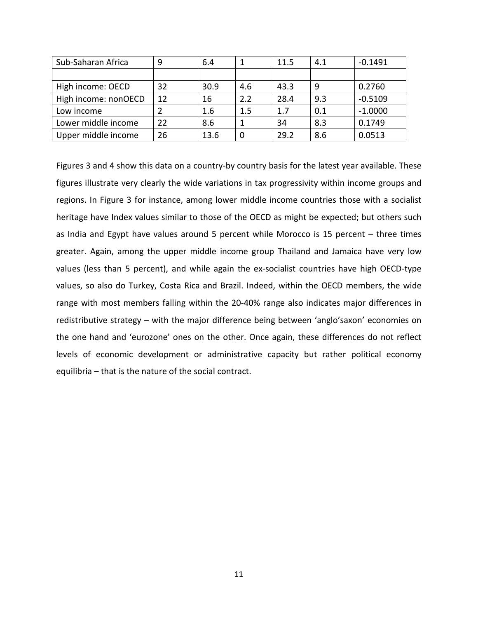| Sub-Saharan Africa   | 9  | 6.4  |     | 11.5 | 4.1 | $-0.1491$ |
|----------------------|----|------|-----|------|-----|-----------|
|                      |    |      |     |      |     |           |
| High income: OECD    | 32 | 30.9 | 4.6 | 43.3 | 9   | 0.2760    |
| High income: nonOECD | 12 | 16   | 2.2 | 28.4 | 9.3 | $-0.5109$ |
| Low income           |    | 1.6  | 1.5 | 1.7  | 0.1 | $-1.0000$ |
| Lower middle income  | 22 | 8.6  |     | 34   | 8.3 | 0.1749    |
| Upper middle income  | 26 | 13.6 | 0   | 29.2 | 8.6 | 0.0513    |

Figures 3 and 4 show this data on a country-by country basis for the latest year available. These figures illustrate very clearly the wide variations in tax progressivity within income groups and regions. In Figure 3 for instance, among lower middle income countries those with a socialist heritage have Index values similar to those of the OECD as might be expected; but others such as India and Egypt have values around 5 percent while Morocco is 15 percent – three times greater. Again, among the upper middle income group Thailand and Jamaica have very low values (less than 5 percent), and while again the ex-socialist countries have high OECD-type values, so also do Turkey, Costa Rica and Brazil. Indeed, within the OECD members, the wide range with most members falling within the 20-40% range also indicates major differences in redistributive strategy – with the major difference being between 'anglo'saxon' economies on the one hand and 'eurozone' ones on the other. Once again, these differences do not reflect levels of economic development or administrative capacity but rather political economy equilibria – that is the nature of the social contract.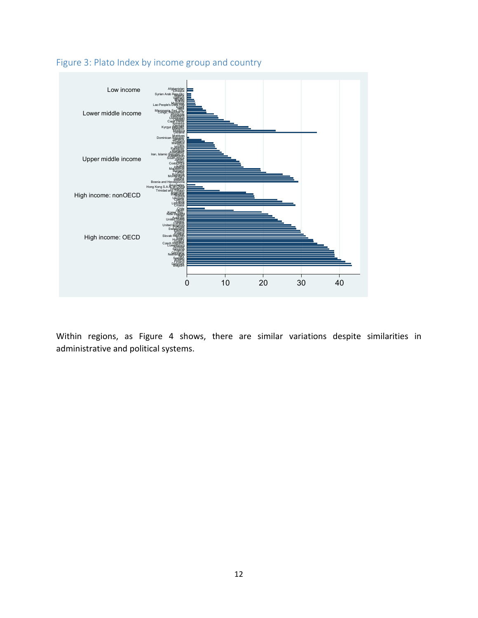

# Figure 3: Plato Index by income group and country

Within regions, as Figure 4 shows, there are similar variations despite similarities in administrative and political systems.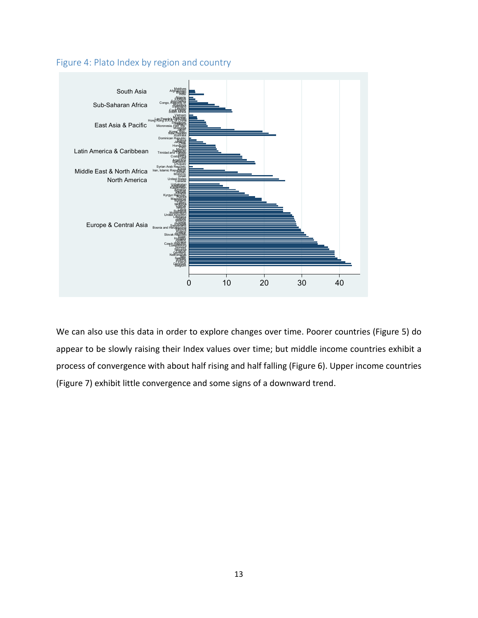

#### Figure 4: Plato Index by region and country

We can also use this data in order to explore changes over time. Poorer countries (Figure 5) do appear to be slowly raising their Index values over time; but middle income countries exhibit a process of convergence with about half rising and half falling (Figure 6). Upper income countries (Figure 7) exhibit little convergence and some signs of a downward trend.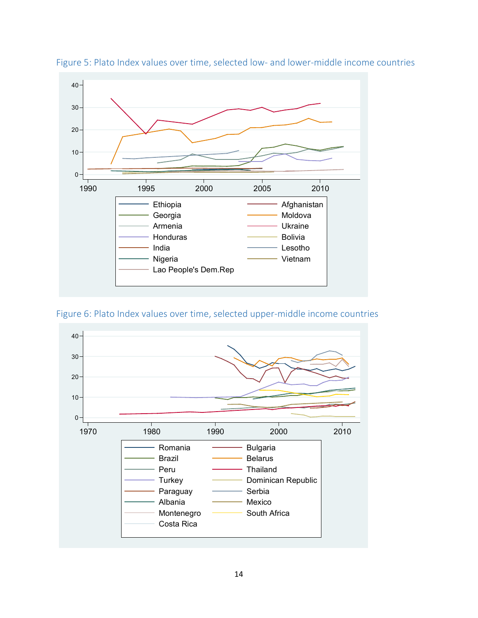

Figure 5: Plato Index values over time, selected low- and lower-middle income countries

Figure 6: Plato Index values over time, selected upper-middle income countries

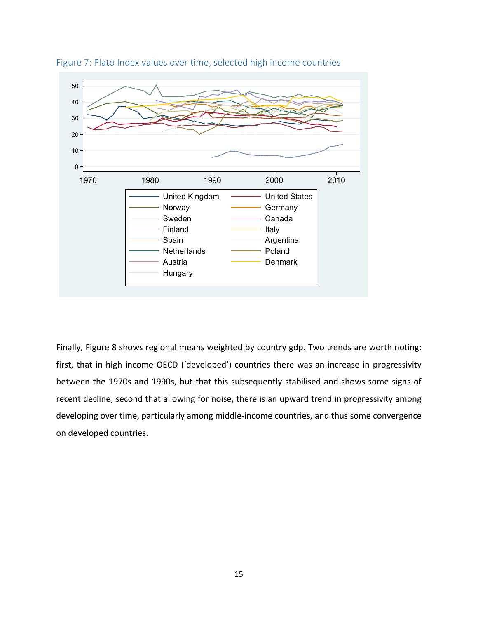



Finally, Figure 8 shows regional means weighted by country gdp. Two trends are worth noting: first, that in high income OECD ('developed') countries there was an increase in progressivity between the 1970s and 1990s, but that this subsequently stabilised and shows some signs of recent decline; second that allowing for noise, there is an upward trend in progressivity among developing over time, particularly among middle-income countries, and thus some convergence on developed countries.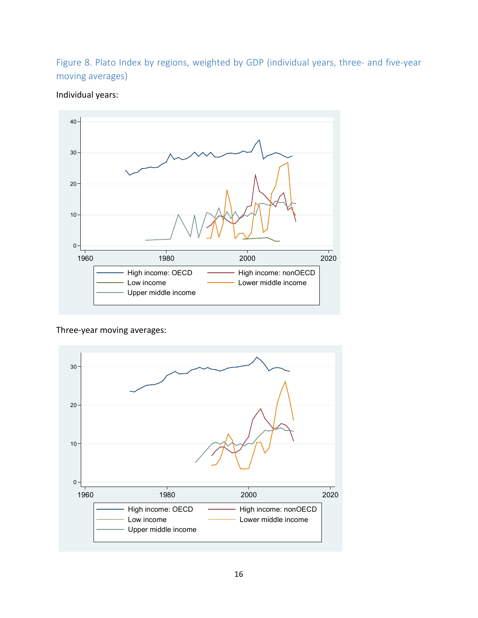Figure 8. Plato Index by regions, weighted by GDP (individual years, three- and five-year moving averages)





Three-year moving averages:

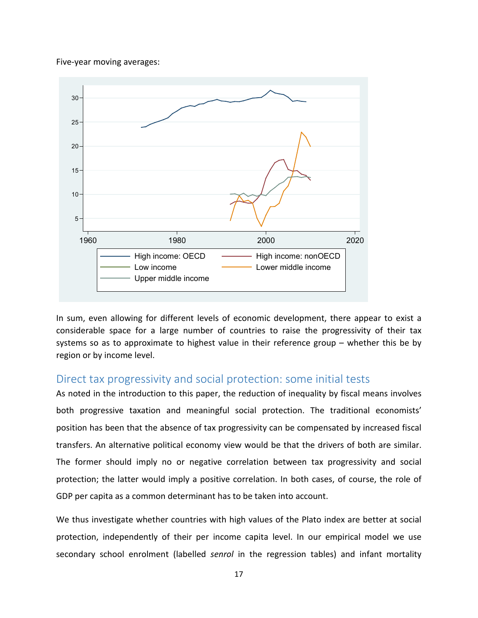Five-year moving averages:



In sum, even allowing for different levels of economic development, there appear to exist a considerable space for a large number of countries to raise the progressivity of their tax systems so as to approximate to highest value in their reference group – whether this be by region or by income level.

# Direct tax progressivity and social protection: some initial tests

As noted in the introduction to this paper, the reduction of inequality by fiscal means involves both progressive taxation and meaningful social protection. The traditional economists' position has been that the absence of tax progressivity can be compensated by increased fiscal transfers. An alternative political economy view would be that the drivers of both are similar. The former should imply no or negative correlation between tax progressivity and social protection; the latter would imply a positive correlation. In both cases, of course, the role of GDP per capita as a common determinant has to be taken into account.

We thus investigate whether countries with high values of the Plato index are better at social protection, independently of their per income capita level. In our empirical model we use secondary school enrolment (labelled *senrol* in the regression tables) and infant mortality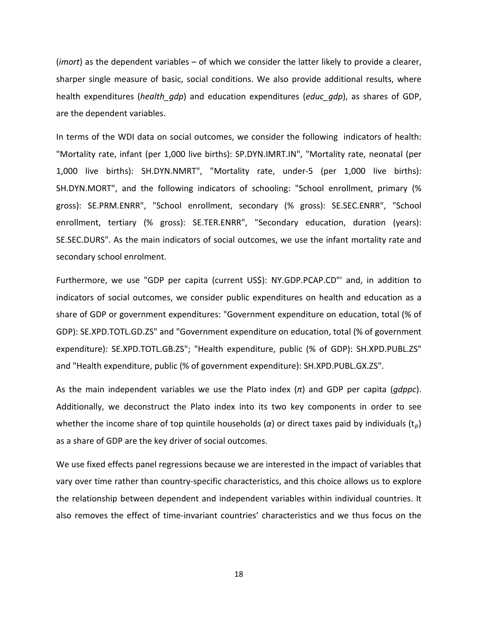(*imort*) as the dependent variables – of which we consider the latter likely to provide a clearer, sharper single measure of basic, social conditions. We also provide additional results, where health expenditures (*health\_gdp*) and education expenditures (*educ\_gdp*), as shares of GDP, are the dependent variables.

In terms of the WDI data on social outcomes, we consider the following indicators of health: "Mortality rate, infant (per 1,000 live births): SP.DYN.IMRT.IN", "Mortality rate, neonatal (per 1,000 live births): SH.DYN.NMRT", "Mortality rate, under-5 (per 1,000 live births): SH.DYN.MORT", and the following indicators of schooling: "School enrollment, primary (% gross): SE.PRM.ENRR", "School enrollment, secondary (% gross): SE.SEC.ENRR", "School enrollment, tertiary (% gross): SE.TER.ENRR", "Secondary education, duration (years): SE.SEC.DURS". As the main indicators of social outcomes, we use the infant mortality rate and secondary school enrolment.

Furthermore, we use "GDP per capita (current US\$): NY.GDP.PCAP.CD"' and, in addition to indicators of social outcomes, we consider public expenditures on health and education as a share of GDP or government expenditures: "Government expenditure on education, total (% of GDP): SE.XPD.TOTL.GD.ZS" and "Government expenditure on education, total (% of government expenditure): SE.XPD.TOTL.GB.ZS"; "Health expenditure, public (% of GDP): SH.XPD.PUBL.ZS" and "Health expenditure, public (% of government expenditure): SH.XPD.PUBL.GX.ZS".

As the main independent variables we use the Plato index (*π*) and GDP per capita (*gdppc*). Additionally, we deconstruct the Plato index into its two key components in order to see whether the income share of top quintile households (*α*) or direct taxes paid by individuals (t*p*) as a share of GDP are the key driver of social outcomes.

We use fixed effects panel regressions because we are interested in the impact of variables that vary over time rather than country-specific characteristics, and this choice allows us to explore the relationship between dependent and independent variables within individual countries. It also removes the effect of time-invariant countries' characteristics and we thus focus on the

18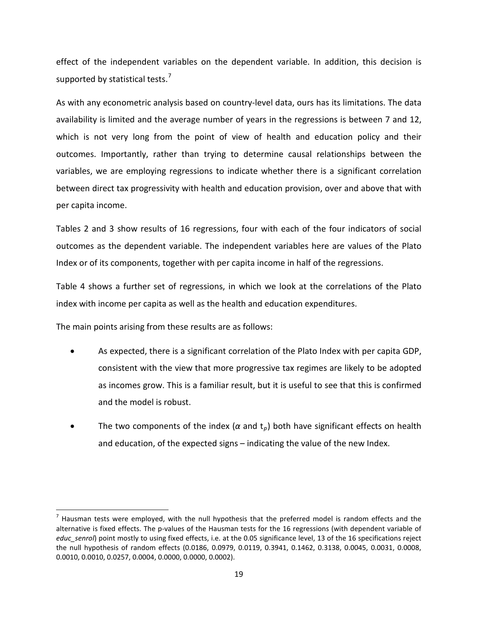effect of the independent variables on the dependent variable. In addition, this decision is supported by statistical tests.<sup>[7](#page-21-0)</sup>

As with any econometric analysis based on country-level data, ours has its limitations. The data availability is limited and the average number of years in the regressions is between 7 and 12, which is not very long from the point of view of health and education policy and their outcomes. Importantly, rather than trying to determine causal relationships between the variables, we are employing regressions to indicate whether there is a significant correlation between direct tax progressivity with health and education provision, over and above that with per capita income.

Tables 2 and 3 show results of 16 regressions, four with each of the four indicators of social outcomes as the dependent variable. The independent variables here are values of the Plato Index or of its components, together with per capita income in half of the regressions.

Table 4 shows a further set of regressions, in which we look at the correlations of the Plato index with income per capita as well as the health and education expenditures.

The main points arising from these results are as follows:

- As expected, there is a significant correlation of the Plato Index with per capita GDP, consistent with the view that more progressive tax regimes are likely to be adopted as incomes grow. This is a familiar result, but it is useful to see that this is confirmed and the model is robust.
- The two components of the index (*α* and t*p*) both have significant effects on health and education, of the expected signs – indicating the value of the new Index.

<span id="page-21-0"></span>Hausman tests were employed, with the null hypothesis that the preferred model is random effects and the alternative is fixed effects. The p-values of the Hausman tests for the 16 regressions (with dependent variable of *educ\_senrol*) point mostly to using fixed effects, i.e. at the 0.05 significance level, 13 of the 16 specifications reject the null hypothesis of random effects (0.0186, 0.0979, 0.0119, 0.3941, 0.1462, 0.3138, 0.0045, 0.0031, 0.0008, 0.0010, 0.0010, 0.0257, 0.0004, 0.0000, 0.0000, 0.0002).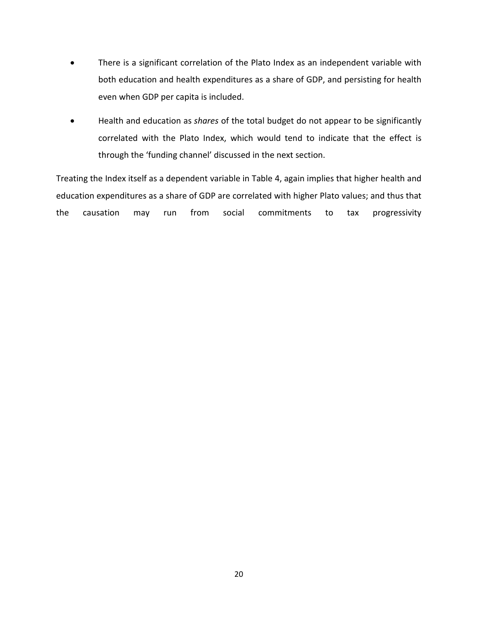- There is a significant correlation of the Plato Index as an independent variable with both education and health expenditures as a share of GDP, and persisting for health even when GDP per capita is included.
- Health and education as *shares* of the total budget do not appear to be significantly correlated with the Plato Index, which would tend to indicate that the effect is through the 'funding channel' discussed in the next section.

Treating the Index itself as a dependent variable in Table 4, again implies that higher health and education expenditures as a share of GDP are correlated with higher Plato values; and thus that the causation may run from social commitments to tax progressivity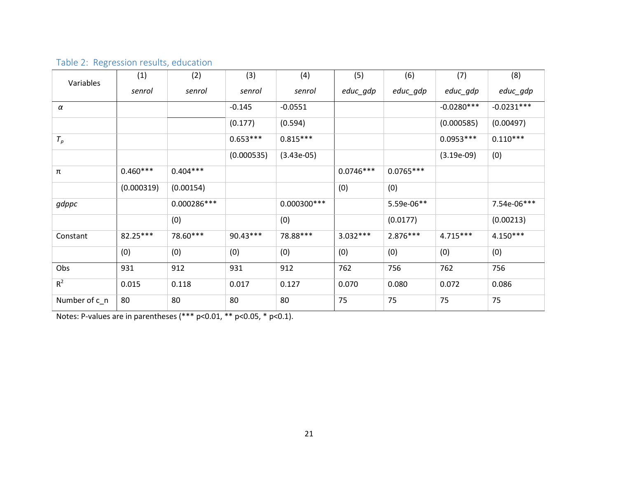| Variables     | (1)        | (2)         | (3)        | (4)           | (5)         | (6)         | (7)          | (8)          |
|---------------|------------|-------------|------------|---------------|-------------|-------------|--------------|--------------|
|               | senrol     | senrol      | senrol     | senrol        | educ_gdp    | educ_gdp    | educ_gdp     | educ_gdp     |
| α             |            |             | $-0.145$   | $-0.0551$     |             |             | $-0.0280***$ | $-0.0231***$ |
|               |            |             | (0.177)    | (0.594)       |             |             | (0.000585)   | (0.00497)    |
| $T_p$         |            |             | $0.653***$ | $0.815***$    |             |             | $0.0953***$  | $0.110***$   |
|               |            |             | (0.000535) | $(3.43e-05)$  |             |             | $(3.19e-09)$ | (0)          |
| π             | $0.460***$ | $0.404***$  |            |               | $0.0746***$ | $0.0765***$ |              |              |
|               | (0.000319) | (0.00154)   |            |               | (0)         | (0)         |              |              |
| gdppc         |            | 0.000286*** |            | $0.000300***$ |             | 5.59e-06**  |              | 7.54e-06***  |
|               |            | (0)         |            | (0)           |             | (0.0177)    |              | (0.00213)    |
| Constant      | 82.25***   | 78.60***    | 90.43***   | 78.88***      | $3.032***$  | $2.876***$  | $4.715***$   | $4.150***$   |
|               | (0)        | (0)         | (0)        | (0)           | (0)         | (0)         | (0)          | (0)          |
| Obs           | 931        | 912         | 931        | 912           | 762         | 756         | 762          | 756          |
| $R^2$         | 0.015      | 0.118       | 0.017      | 0.127         | 0.070       | 0.080       | 0.072        | 0.086        |
| Number of c_n | 80         | 80          | 80         | 80            | 75          | 75          | 75           | 75           |

Notes: P-values are in parentheses (\*\*\* p<0.01, \*\* p<0.05, \* p<0.1).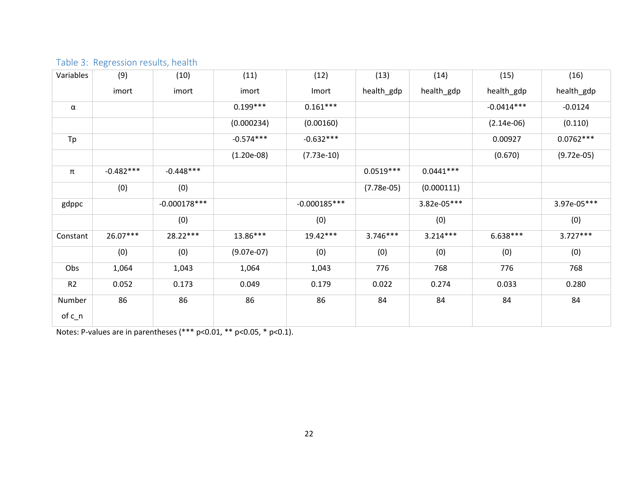| Variables      | (9)         | (10)           | (11)         | (12)           | (13)         | (14)        | (15)         | (16)         |
|----------------|-------------|----------------|--------------|----------------|--------------|-------------|--------------|--------------|
|                | imort       | imort          | imort        | Imort          | health_gdp   | health_gdp  | health_gdp   | health_gdp   |
| α              |             |                | $0.199***$   | $0.161***$     |              |             | $-0.0414***$ | $-0.0124$    |
|                |             |                | (0.000234)   | (0.00160)      |              |             | $(2.14e-06)$ | (0.110)      |
| Tp             |             |                | $-0.574***$  | $-0.632***$    |              |             | 0.00927      | $0.0762***$  |
|                |             |                | $(1.20e-08)$ | $(7.73e-10)$   |              |             | (0.670)      | $(9.72e-05)$ |
| π              | $-0.482***$ | $-0.448***$    |              |                | $0.0519***$  | $0.0441***$ |              |              |
|                | (0)         | (0)            |              |                | $(7.78e-05)$ | (0.000111)  |              |              |
| gdppc          |             | $-0.000178***$ |              | $-0.000185***$ |              | 3.82e-05*** |              | 3.97e-05***  |
|                |             | (0)            |              | (0)            |              | (0)         |              | (0)          |
| Constant       | 26.07***    | 28.22***       | 13.86***     | $19.42***$     | $3.746***$   | $3.214***$  | $6.638***$   | $3.727***$   |
|                | (0)         | (0)            | $(9.07e-07)$ | (0)            | (0)          | (0)         | (0)          | (0)          |
| Obs            | 1,064       | 1,043          | 1,064        | 1,043          | 776          | 768         | 776          | 768          |
| R <sub>2</sub> | 0.052       | 0.173          | 0.049        | 0.179          | 0.022        | 0.274       | 0.033        | 0.280        |
| Number         | 86          | 86             | 86           | 86             | 84           | 84          | 84           | 84           |
| of $c_n$       |             |                |              |                |              |             |              |              |

Notes: P-values are in parentheses (\*\*\* p<0.01, \*\* p<0.05, \* p<0.1).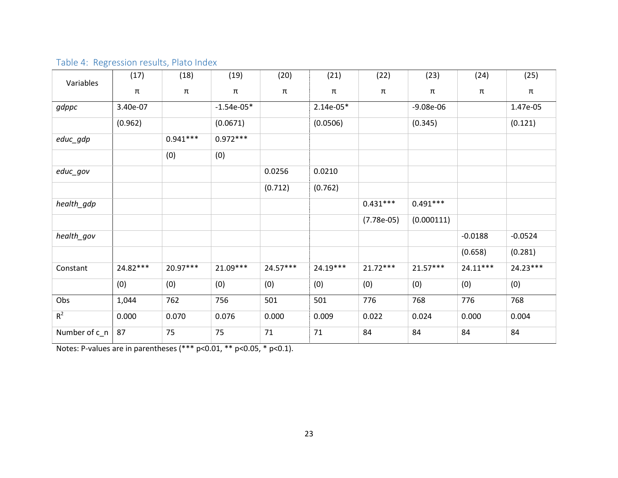| Variables     | (17)        | (18)        | (19)         | (20)       | (21)        | (22)         | (23)        | (24)       | (25)      |
|---------------|-------------|-------------|--------------|------------|-------------|--------------|-------------|------------|-----------|
|               | $\pmb{\pi}$ | $\pmb{\pi}$ | π            | $\pi$      | $\pi$       | $\pmb{\pi}$  | $\pmb{\pi}$ | π          | π         |
| gdppc         | 3.40e-07    |             | $-1.54e-05*$ |            | $2.14e-05*$ |              | $-9.08e-06$ |            | 1.47e-05  |
|               | (0.962)     |             | (0.0671)     |            | (0.0506)    |              | (0.345)     |            | (0.121)   |
| educ_gdp      |             | $0.941***$  | $0.972***$   |            |             |              |             |            |           |
|               |             | (0)         | (0)          |            |             |              |             |            |           |
| educ_gov      |             |             |              | 0.0256     | 0.0210      |              |             |            |           |
|               |             |             |              | (0.712)    | (0.762)     |              |             |            |           |
| health_gdp    |             |             |              |            |             | $0.431***$   | $0.491***$  |            |           |
|               |             |             |              |            |             | $(7.78e-05)$ | (0.000111)  |            |           |
| health_gov    |             |             |              |            |             |              |             | $-0.0188$  | $-0.0524$ |
|               |             |             |              |            |             |              |             | (0.658)    | (0.281)   |
| Constant      | 24.82***    | 20.97***    | 21.09***     | $24.57***$ | 24.19***    | $21.72***$   | $21.57***$  | $24.11***$ | 24.23***  |
|               | (0)         | (0)         | (0)          | (0)        | (0)         | (0)          | (0)         | (0)        | (0)       |
| Obs           | 1,044       | 762         | 756          | 501        | 501         | 776          | 768         | 776        | 768       |
| $R^2$         | 0.000       | 0.070       | 0.076        | 0.000      | 0.009       | 0.022        | 0.024       | 0.000      | 0.004     |
| Number of c_n | 87          | 75          | 75           | 71         | 71          | 84           | 84          | 84         | 84        |

# Table 4: Regression results, Plato Index

Notes: P-values are in parentheses (\*\*\* p<0.01, \*\* p<0.05, \* p<0.1).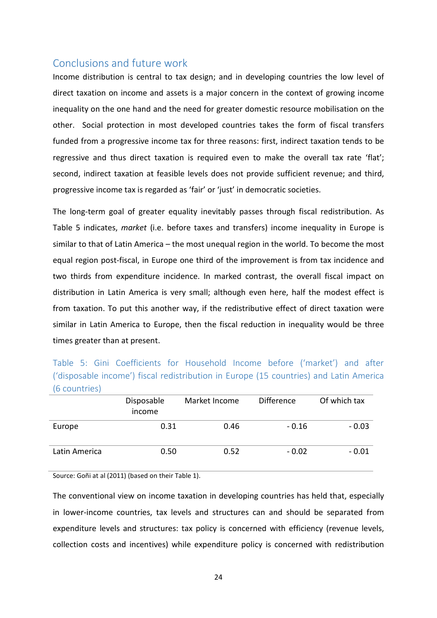## Conclusions and future work

Income distribution is central to tax design; and in developing countries the low level of direct taxation on income and assets is a major concern in the context of growing income inequality on the one hand and the need for greater domestic resource mobilisation on the other. Social protection in most developed countries takes the form of fiscal transfers funded from a progressive income tax for three reasons: first, indirect taxation tends to be regressive and thus direct taxation is required even to make the overall tax rate 'flat'; second, indirect taxation at feasible levels does not provide sufficient revenue; and third, progressive income tax is regarded as 'fair' or 'just' in democratic societies.

The long-term goal of greater equality inevitably passes through fiscal redistribution. As Table 5 indicates, *market* (i.e. before taxes and transfers) income inequality in Europe is similar to that of Latin America – the most unequal region in the world. To become the most equal region post-fiscal, in Europe one third of the improvement is from tax incidence and two thirds from expenditure incidence. In marked contrast, the overall fiscal impact on distribution in Latin America is very small; although even here, half the modest effect is from taxation. To put this another way, if the redistributive effect of direct taxation were similar in Latin America to Europe, then the fiscal reduction in inequality would be three times greater than at present.

|               |  |  |  |  | Table 5: Gini Coefficients for Household Income before ('market') and after            |  |  |
|---------------|--|--|--|--|----------------------------------------------------------------------------------------|--|--|
|               |  |  |  |  | ('disposable income') fiscal redistribution in Europe (15 countries) and Latin America |  |  |
| (6 countries) |  |  |  |  |                                                                                        |  |  |

|               | Disposable<br>income | Market Income | <b>Difference</b> | Of which tax |
|---------------|----------------------|---------------|-------------------|--------------|
| Europe        | 0.31                 | 0.46          | $-0.16$           | $-0.03$      |
| Latin America | 0.50                 | 0.52          | $-0.02$           | $-0.01$      |

Source: Goñi at al (2011) (based on their Table 1).

The conventional view on income taxation in developing countries has held that, especially in lower-income countries, tax levels and structures can and should be separated from expenditure levels and structures: tax policy is concerned with efficiency (revenue levels, collection costs and incentives) while expenditure policy is concerned with redistribution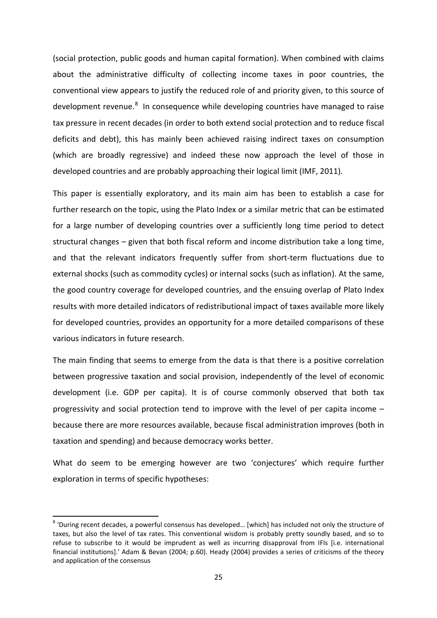(social protection, public goods and human capital formation). When combined with claims about the administrative difficulty of collecting income taxes in poor countries, the conventional view appears to justify the reduced role of and priority given, to this source of development revenue.<sup>[8](#page-27-0)</sup> In consequence while developing countries have managed to raise tax pressure in recent decades (in order to both extend social protection and to reduce fiscal deficits and debt), this has mainly been achieved raising indirect taxes on consumption (which are broadly regressive) and indeed these now approach the level of those in developed countries and are probably approaching their logical limit (IMF, 2011).

This paper is essentially exploratory, and its main aim has been to establish a case for further research on the topic, using the Plato Index or a similar metric that can be estimated for a large number of developing countries over a sufficiently long time period to detect structural changes – given that both fiscal reform and income distribution take a long time, and that the relevant indicators frequently suffer from short-term fluctuations due to external shocks (such as commodity cycles) or internal socks (such as inflation). At the same, the good country coverage for developed countries, and the ensuing overlap of Plato Index results with more detailed indicators of redistributional impact of taxes available more likely for developed countries, provides an opportunity for a more detailed comparisons of these various indicators in future research.

The main finding that seems to emerge from the data is that there is a positive correlation between progressive taxation and social provision, independently of the level of economic development (i.e. GDP per capita). It is of course commonly observed that both tax progressivity and social protection tend to improve with the level of per capita income – because there are more resources available, because fiscal administration improves (both in taxation and spending) and because democracy works better.

What do seem to be emerging however are two 'conjectures' which require further exploration in terms of specific hypotheses:

<span id="page-27-0"></span> <sup>8</sup> 'During recent decades, a powerful consensus has developed… [which] has included not only the structure of taxes, but also the level of tax rates. This conventional wisdom is probably pretty soundly based, and so to refuse to subscribe to it would be imprudent as well as incurring disapproval from IFIs [i.e. international financial institutions].' Adam & Bevan (2004; p.60). Heady (2004) provides a series of criticisms of the theory and application of the consensus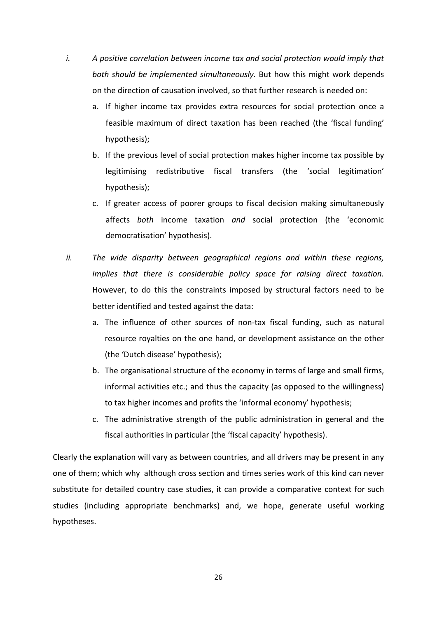- *i. A positive correlation between income tax and social protection would imply that both should be implemented simultaneously.* But how this might work depends on the direction of causation involved, so that further research is needed on:
	- a. If higher income tax provides extra resources for social protection once a feasible maximum of direct taxation has been reached (the 'fiscal funding' hypothesis);
	- b. If the previous level of social protection makes higher income tax possible by legitimising redistributive fiscal transfers (the 'social legitimation' hypothesis);
	- c. If greater access of poorer groups to fiscal decision making simultaneously affects *both* income taxation *and* social protection (the 'economic democratisation' hypothesis).
- *ii. The wide disparity between geographical regions and within these regions, implies that there is considerable policy space for raising direct taxation.* However, to do this the constraints imposed by structural factors need to be better identified and tested against the data:
	- a. The influence of other sources of non-tax fiscal funding, such as natural resource royalties on the one hand, or development assistance on the other (the 'Dutch disease' hypothesis);
	- b. The organisational structure of the economy in terms of large and small firms, informal activities etc.; and thus the capacity (as opposed to the willingness) to tax higher incomes and profits the 'informal economy' hypothesis;
	- c. The administrative strength of the public administration in general and the fiscal authorities in particular (the 'fiscal capacity' hypothesis).

Clearly the explanation will vary as between countries, and all drivers may be present in any one of them; which why although cross section and times series work of this kind can never substitute for detailed country case studies, it can provide a comparative context for such studies (including appropriate benchmarks) and, we hope, generate useful working hypotheses.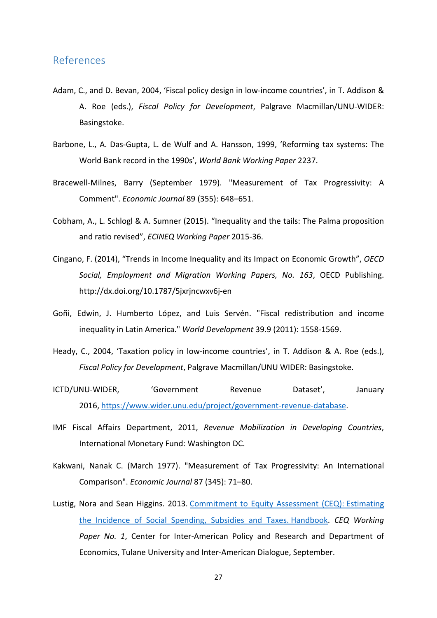#### References

- Adam, C., and D. Bevan, 2004, 'Fiscal policy design in low-income countries', in T. Addison & A. Roe (eds.), *Fiscal Policy for Development*, Palgrave Macmillan/UNU-WIDER: Basingstoke.
- Barbone, L., A. Das-Gupta, L. de Wulf and A. Hansson, 1999, 'Reforming tax systems: The World Bank record in the 1990s', *World Bank Working Paper* 2237.
- Bracewell-Milnes, Barry (September 1979). "Measurement of Tax Progressivity: A Comment". *Economic Journal* 89 (355): 648–651.
- Cobham, A., L. Schlogl & A. Sumner (2015). "Inequality and the tails: The Palma proposition and ratio revised", *ECINEQ Working Paper* 2015-36.
- Cingano, F. (2014), "Trends in Income Inequality and its Impact on Economic Growth", *OECD Social, Employment and Migration Working Papers, No. 163*, OECD Publishing. <http://dx.doi.org/10.1787/5jxrjncwxv6j-en>
- Goñi, Edwin, J. Humberto López, and Luis Servén. "Fiscal redistribution and income inequality in Latin America." *World Development* 39.9 (2011): 1558-1569.
- Heady, C., 2004, 'Taxation policy in low-income countries', in T. Addison & A. Roe (eds.), *Fiscal Policy for Development*, Palgrave Macmillan/UNU WIDER: Basingstoke.
- ICTD/UNU-WIDER, 'Government Revenue Dataset', January 2016, [https://www.wider.unu.edu/project/government-revenue-database.](https://www.wider.unu.edu/project/government-revenue-database)
- IMF Fiscal Affairs Department, 2011, *Revenue Mobilization in Developing Countries*, International Monetary Fund: Washington DC.
- Kakwani, Nanak C. (March 1977). "Measurement of Tax Progressivity: An International Comparison". *Economic Journal* 87 (345): 71–80.
- Lustig, Nora and Sean Higgins. 2013. Commitment to Equity Assessment (CEQ): Estimating the Incidence of Social Spending, Subsidies and Taxes. Handbook. *CEQ Working Paper No. 1*, Center for Inter-American Policy and Research and Department of Economics, Tulane University and Inter-American Dialogue, September.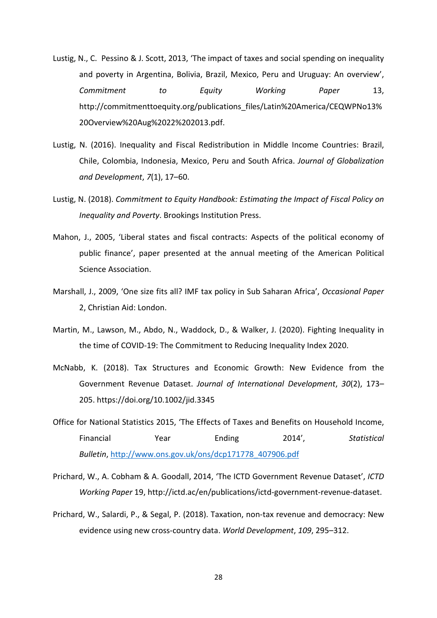- Lustig, N., C. Pessino & J. Scott, 2013, 'The impact of taxes and social spending on inequality and poverty in Argentina, Bolivia, Brazil, Mexico, Peru and Uruguay: An overview', *Commitment to Equity Working Paper* 13, [http://commitmenttoequity.org/publications\\_files/Latin%20America/CEQWPNo13%](http://commitmenttoequity.org/publications_files/Latin%20America/CEQWPNo13%20Overview%20Aug%2022%202013.pdf) [20Overview%20Aug%2022%202013.pdf.](http://commitmenttoequity.org/publications_files/Latin%20America/CEQWPNo13%20Overview%20Aug%2022%202013.pdf)
- Lustig, N. (2016). Inequality and Fiscal Redistribution in Middle Income Countries: Brazil, Chile, Colombia, Indonesia, Mexico, Peru and South Africa. *Journal of Globalization and Development*, *7*(1), 17–60.
- Lustig, N. (2018). *Commitment to Equity Handbook: Estimating the Impact of Fiscal Policy on Inequality and Poverty*. Brookings Institution Press.
- Mahon, J., 2005, 'Liberal states and fiscal contracts: Aspects of the political economy of public finance', paper presented at the annual meeting of the American Political Science Association.
- Marshall, J., 2009, 'One size fits all? IMF tax policy in Sub Saharan Africa', *Occasional Paper* 2, Christian Aid: London.
- Martin, M., Lawson, M., Abdo, N., Waddock, D., & Walker, J. (2020). Fighting Inequality in the time of COVID-19: The Commitment to Reducing Inequality Index 2020.
- McNabb, K. (2018). Tax Structures and Economic Growth: New Evidence from the Government Revenue Dataset. *Journal of International Development*, *30*(2), 173– 205. https://doi.org/10.1002/jid.3345
- Office for National Statistics 2015, 'The Effects of Taxes and Benefits on Household Income, Financial Year Ending 2014', *Statistical Bulletin*, [http://www.ons.gov.uk/ons/dcp171778\\_407906.pdf](http://www.ons.gov.uk/ons/dcp171778_407906.pdf)
- Prichard, W., A. Cobham & A. Goodall, 2014, 'The ICTD Government Revenue Dataset', *ICTD Working Paper* 19, [http://ictd.ac/en/publications/ictd-government-revenue-dataset.](http://ictd.ac/en/publications/ictd-government-revenue-dataset)
- Prichard, W., Salardi, P., & Segal, P. (2018). Taxation, non-tax revenue and democracy: New evidence using new cross-country data. *World Development*, *109*, 295–312.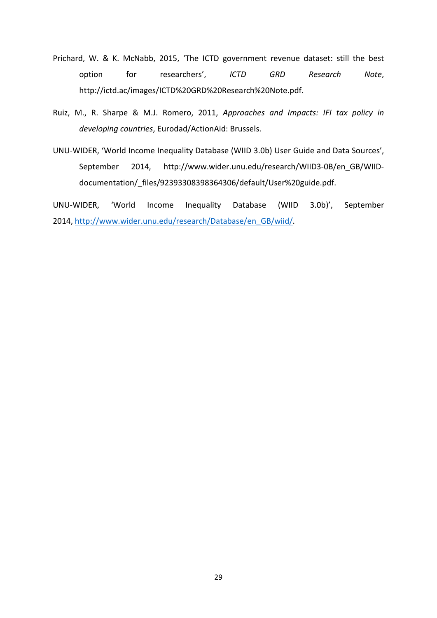- Prichard, W. & K. McNabb, 2015, 'The ICTD government revenue dataset: still the best option for researchers', *ICTD GRD Research Note*, http://ictd.ac/images/ICTD%20GRD%20Research%20Note.pdf.
- Ruiz, M., R. Sharpe & M.J. Romero, 2011, *Approaches and Impacts: IFI tax policy in developing countries*, Eurodad/ActionAid: Brussels.
- UNU-WIDER, 'World Income Inequality Database (WIID 3.0b) User Guide and Data Sources', September 2014, [http://www.wider.unu.edu/research/WIID3-0B/en\\_GB/WIID](http://www.wider.unu.edu/research/WIID3-0B/en_GB/WIID-documentation/_files/92393308398364306/default/User%20guide.pdf)[documentation/\\_files/92393308398364306/default/User%20guide.pdf.](http://www.wider.unu.edu/research/WIID3-0B/en_GB/WIID-documentation/_files/92393308398364306/default/User%20guide.pdf)

UNU-WIDER, 'World Income Inequality Database (WIID 3.0b)', September 2014, [http://www.wider.unu.edu/research/Database/en\\_GB/wiid/.](http://www.wider.unu.edu/research/Database/en_GB/wiid/)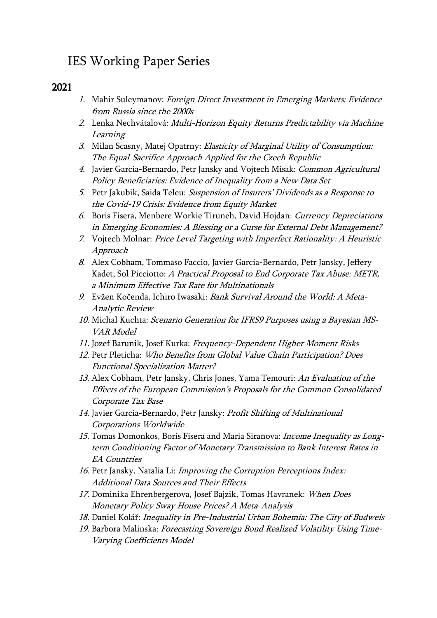# IES Working Paper Series

### 2021

- 1. Mahir Suleymanov: Foreign Direct Investment in Emerging Markets: Evidence from Russia since the 2000s
- 2. Lenka Nechvátalová: Multi-Horizon Equity Returns Predictability via Machine Learning
- 3. Milan Scasny, Matej Opatrny: Elasticity of Marginal Utility of Consumption: The Equal-Sacrifice Approach Applied for the Czech Republic
- 4. Javier Garcia-Bernardo, Petr Jansky and Vojtech Misak: Common Agricultural Policy Beneficiaries: Evidence of Inequality from a New Data Set
- 5. Petr Jakubik, Saida Teleu: Suspension of Insurers' Dividends as a Response to the Covid-19 Crisis: Evidence from Equity Market
- 6. Boris Fisera, Menbere Workie Tiruneh, David Hojdan: Currency Depreciations in Emerging Economies: A Blessing or a Curse for External Debt Management?
- 7. Vojtech Molnar: Price Level Targeting with Imperfect Rationality: A Heuristic Approach
- 8. Alex Cobham, Tommaso Faccio, Javier Garcia-Bernardo, Petr Jansky, Jeffery Kadet, Sol Picciotto: A Practical Proposal to End Corporate Tax Abuse: METR, a Minimum Effective Tax Rate for Multinationals
- 9. Evžen Kočenda, Ichiro Iwasaki: Bank Survival Around the World: A Meta-Analytic Review
- 10. Michal Kuchta: Scenario Generation for IFRS9 Purposes using a Bayesian MS-VAR Model
- 11. Jozef Barunik, Josef Kurka: Frequency-Dependent Higher Moment Risks
- 12. Petr Pleticha: Who Benefits from Global Value Chain Participation? Does Functional Specialization Matter?
- 13. Alex Cobham, Petr Jansky, Chris Jones, Yama Temouri: An Evaluation of the Effects of the European Commission's Proposals for the Common Consolidated Corporate Tax Base
- 14. Javier Garcia-Bernardo, Petr Jansky: Profit Shifting of Multinational Corporations Worldwide
- 15. Tomas Domonkos, Boris Fisera and Maria Siranova: Income Inequality as Longterm Conditioning Factor of Monetary Transmission to Bank Interest Rates in EA Countries
- 16. Petr Jansky, Natalia Li: Improving the Corruption Perceptions Index: Additional Data Sources and Their Effects
- 17. Dominika Ehrenbergerova, Josef Bajzik, Tomas Havranek: When Does Monetary Policy Sway House Prices? A Meta-Analysis
- 18. Daniel Kolář: Inequality in Pre-Industrial Urban Bohemia: The City of Budweis
- 19. Barbora Malinska: Forecasting Sovereign Bond Realized Volatility Using Time-Varying Coefficients Model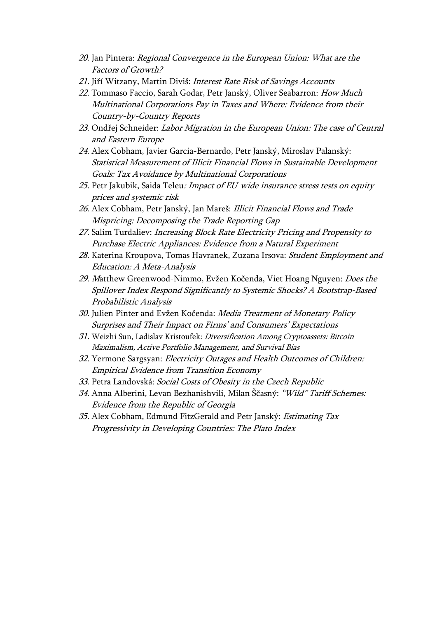- 20. Jan Pintera: Regional Convergence in the European Union: What are the Factors of Growth?
- 21. Jiří Witzany, Martin Diviš: Interest Rate Risk of Savings Accounts
- 22. Tommaso Faccio, Sarah Godar, Petr Janský, Oliver Seabarron: How Much Multinational Corporations Pay in Taxes and Where: Evidence from their Country-by-Country Reports
- 23. Ondřej Schneider: Labor Migration in the European Union: The case of Central and Eastern Europe
- 24. Alex Cobham, Javier Garcia-Bernardo, Petr Janský, Miroslav Palanský: Statistical Measurement of Illicit Financial Flows in Sustainable Development Goals: Tax Avoidance by Multinational Corporations
- 25. Petr Jakubik, Saida Teleu: Impact of EU-wide insurance stress tests on equity prices and systemic risk
- 26. Alex Cobham, Petr Janský, Jan Mareš: Illicit Financial Flows and Trade Mispricing: Decomposing the Trade Reporting Gap
- 27. Salim Turdaliev: Increasing Block Rate Electricity Pricing and Propensity to Purchase Electric Appliances: Evidence from a Natural Experiment
- 28. Katerina Kroupova, Tomas Havranek, Zuzana Irsova: Student Employment and Education: A Meta-Analysis
- 29. Matthew Greenwood-Nimmo, Evžen Kočenda, Viet Hoang Nguyen: Does the Spillover Index Respond Significantly to Systemic Shocks? A Bootstrap-Based Probabilistic Analysis
- 30. Julien Pinter and Evžen Kočenda: Media Treatment of Monetary Policy Surprises and Their Impact on Firms' and Consumers' Expectations
- 31. Weizhi Sun, Ladislav Kristoufek: Diversification Among Cryptoassets: Bitcoin Maximalism, Active Portfolio Management, and Survival Bias
- 32. Yermone Sargsyan: Electricity Outages and Health Outcomes of Children: Empirical Evidence from Transition Economy
- 33. Petra Landovská: Social Costs of Obesity in the Czech Republic
- 34. Anna Alberini, Levan Bezhanishvili, Milan Ščasný: "Wild" Tariff Schemes: Evidence from the Republic of Georgia
- 35. Alex Cobham, Edmund FitzGerald and Petr Janský: Estimating Tax Progressivity in Developing Countries: The Plato Index